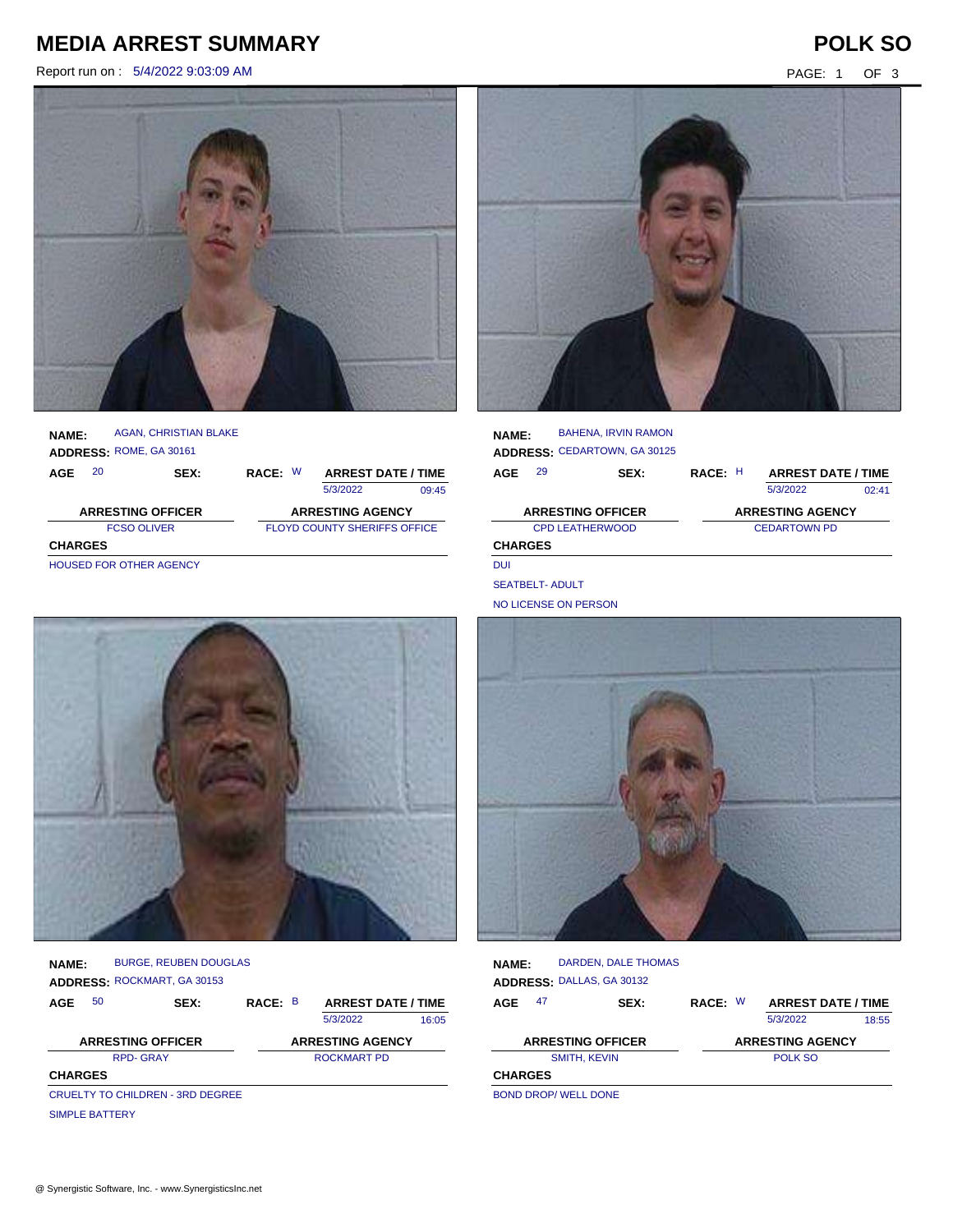# **MEDIA ARREST SUMMARY POLK SO**

Report run on : 5/4/2022 9:03:09 AM **PAGE: 1** OF 3



| <b>NAME:</b>             | ADDRESS: ROME, GA 30161 | AGAN, CHRISTIAN BLAKE |                         |                                     |  |  |  |
|--------------------------|-------------------------|-----------------------|-------------------------|-------------------------------------|--|--|--|
| AGE                      | 20                      | SEX:                  | RACE: W                 | <b>ARREST DATE / TIME</b>           |  |  |  |
|                          |                         |                       |                         | 5/3/2022<br>09:45                   |  |  |  |
| <b>ARRESTING OFFICER</b> |                         |                       | <b>ARRESTING AGENCY</b> |                                     |  |  |  |
|                          |                         |                       |                         |                                     |  |  |  |
|                          | <b>FCSO OLIVER</b>      |                       |                         | <b>FLOYD COUNTY SHERIFFS OFFICE</b> |  |  |  |
| <b>CHARGES</b>           |                         |                       |                         |                                     |  |  |  |



| <b>NAME:</b>             |    | <b>BAHENA, IRVIN RAMON</b><br><b>ADDRESS: CEDARTOWN, GA 30125</b> |         |                           |       |
|--------------------------|----|-------------------------------------------------------------------|---------|---------------------------|-------|
| AGE                      | 29 | SEX:                                                              | RACE: H | <b>ARREST DATE / TIME</b> |       |
|                          |    |                                                                   |         | 5/3/2022                  | 02.41 |
| <b>ARRESTING OFFICER</b> |    |                                                                   |         | <b>ARRESTING AGENCY</b>   |       |
|                          |    | <b>CPD LEATHERWOOD</b>                                            |         | <b>CEDARTOWN PD</b>       |       |
| <b>CHARGES</b>           |    |                                                                   |         |                           |       |
| DUI                      |    |                                                                   |         |                           |       |

SEATBELT- ADULT

NO LICENSE ON PERSON



| <b>NAME:</b>             |    | <b>BURGE, REUBEN DOUGLAS</b><br>ADDRESS: ROCKMART, GA 30153 |                         |  |                           |       |
|--------------------------|----|-------------------------------------------------------------|-------------------------|--|---------------------------|-------|
| AGE                      | 50 | SEX:                                                        | RACE: B                 |  | <b>ARREST DATE / TIME</b> |       |
|                          |    |                                                             |                         |  | 5/3/2022                  | 16:05 |
| <b>ARRESTING OFFICER</b> |    |                                                             | <b>ARRESTING AGENCY</b> |  |                           |       |
|                          |    | <b>RPD-GRAY</b>                                             |                         |  | <b>ROCKMART PD</b>        |       |
| <b>CHARGES</b>           |    |                                                             |                         |  |                           |       |
|                          |    | <b>CRUELTY TO CHILDREN - 3RD DEGREE</b>                     |                         |  |                           |       |
| <b>SIMPLE BATTERY</b>    |    |                                                             |                         |  |                           |       |



| <b>NAME:</b>   |    | DARDEN, DALE THOMAS       |         |  |                           |       |
|----------------|----|---------------------------|---------|--|---------------------------|-------|
|                |    | ADDRESS: DALLAS, GA 30132 |         |  |                           |       |
| AGE            | 47 | SEX:                      | RACE: W |  | <b>ARREST DATE / TIME</b> |       |
|                |    |                           |         |  | 5/3/2022                  | 18:55 |
|                |    | <b>ARRESTING OFFICER</b>  |         |  | <b>ARRESTING AGENCY</b>   |       |
|                |    | <b>SMITH, KEVIN</b>       | POLK SO |  |                           |       |
| <b>CHARGES</b> |    |                           |         |  |                           |       |
|                |    | ---------------------     |         |  |                           |       |

BOND DROP/ WELL DONE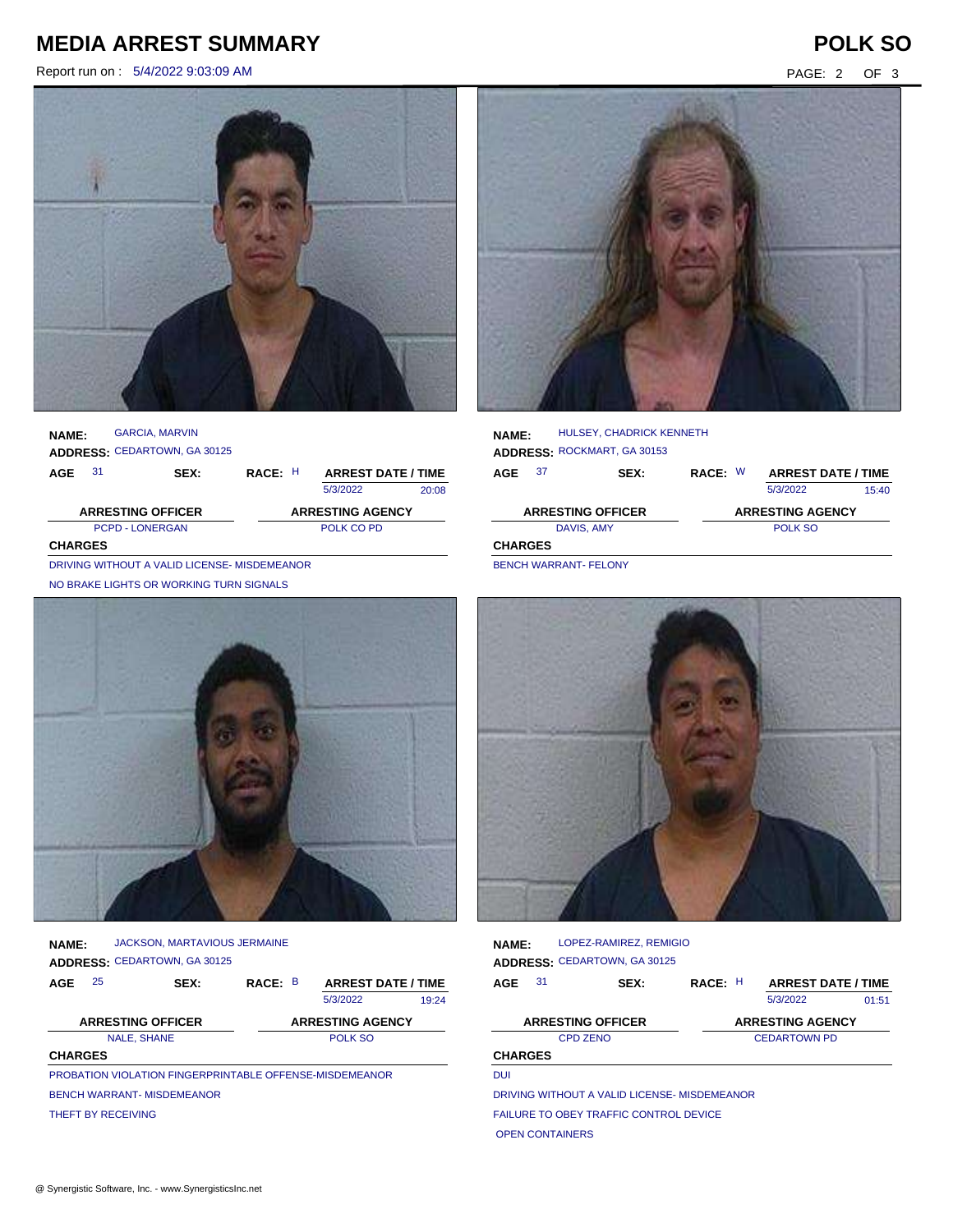## **MEDIA ARREST SUMMARY POLK SO**

Report run on : 5/4/2022 9:03:09 AM PAGE: 2 OF 3



**NAME: ADDRESS:** CEDARTOWN, GA 30125 GARCIA, MARVIN

| AGE                      | 31                                          | <b>SEX:</b> | RACE: H |  | <b>ARREST DATE / TIME</b> |       |
|--------------------------|---------------------------------------------|-------------|---------|--|---------------------------|-------|
|                          |                                             |             |         |  | 5/3/2022                  | 20:08 |
| <b>ARRESTING OFFICER</b> |                                             |             |         |  | <b>ARRESTING AGENCY</b>   |       |
| <b>PCPD - LONERGAN</b>   |                                             |             |         |  | POLK CO PD                |       |
| <b>CHARGES</b>           |                                             |             |         |  |                           |       |
|                          | DRIVING WITHOUT A VALID LICENCE MICREMEANOR |             |         |  |                           |       |

DRIVING WITHOUT A VALID LICENSE- MISDEMEANOR NO BRAKE LIGHTS OR WORKING TURN SIGNALS



**NAME: ADDRESS:** CEDARTOWN, GA 30125 JACKSON, MARTAVIOUS JERMAINE

| AGE            | 25                                | SEX: | RACE: B |  | <b>ARREST DATE / TIME</b>                                      |       |
|----------------|-----------------------------------|------|---------|--|----------------------------------------------------------------|-------|
|                |                                   |      |         |  | 5/3/2022                                                       | 19:24 |
|                | <b>ARRESTING OFFICER</b>          |      |         |  | <b>ARRESTING AGENCY</b>                                        |       |
|                | <b>NALE, SHANE</b><br>POLK SO     |      |         |  |                                                                |       |
| <b>CHARGES</b> |                                   |      |         |  |                                                                |       |
|                |                                   |      |         |  | <b>PROBATION VIOLATION FINGERPRINTABLE OFFENSE-MISDEMEANOR</b> |       |
|                | <b>BENCH WARRANT- MISDEMEANOR</b> |      |         |  |                                                                |       |
|                | THEFT BY RECEIVING                |      |         |  |                                                                |       |



| <b>NAME:</b>   |  | HULSEY, CHADRICK KENNETH    |         |                           |       |
|----------------|--|-----------------------------|---------|---------------------------|-------|
|                |  | ADDRESS: ROCKMART, GA 30153 |         |                           |       |
| 37<br>AGE      |  | SEX:                        | RACE: W | <b>ARREST DATE / TIME</b> |       |
|                |  |                             |         | 5/3/2022                  | 15:40 |
|                |  | <b>ARRESTING OFFICER</b>    |         | <b>ARRESTING AGENCY</b>   |       |
| DAVIS, AMY     |  |                             |         | POLK SO                   |       |
| <b>CHARGES</b> |  |                             |         |                           |       |
| __             |  |                             |         |                           |       |

BENCH WARRANT- FELONY



**NAME: ADDRESS:** CEDARTOWN, GA 30125 LOPEZ-RAMIREZ, REMIGIO

| <b>AGE</b>     | 31 | <b>SEX:</b>                                  | RACE: H             |  | <b>ARREST DATE / TIME</b> |       |
|----------------|----|----------------------------------------------|---------------------|--|---------------------------|-------|
|                |    |                                              |                     |  | 5/3/2022                  | 01:51 |
|                |    | <b>ARRESTING OFFICER</b>                     |                     |  | <b>ARRESTING AGENCY</b>   |       |
|                |    | <b>CPD ZENO</b>                              | <b>CEDARTOWN PD</b> |  |                           |       |
| <b>CHARGES</b> |    |                                              |                     |  |                           |       |
| <b>DUI</b>     |    |                                              |                     |  |                           |       |
|                |    | DRIVING WITHOUT A VALID LICENSE, MISDEMEANOR |                     |  |                           |       |

DRIVING WITHOUT A VALID LICENSE- MISDEMEANOR

FAILURE TO OBEY TRAFFIC CONTROL DEVICE

OPEN CONTAINERS